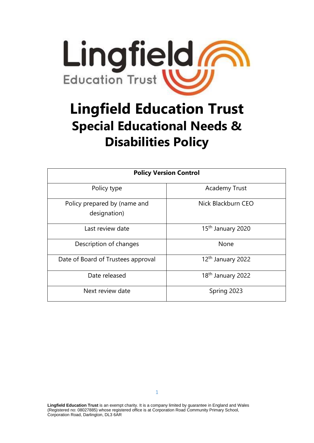

# **Lingfield Education Trust Special Educational Needs & Disabilities Policy**

| <b>Policy Version Control</b>                |                               |
|----------------------------------------------|-------------------------------|
| Policy type                                  | <b>Academy Trust</b>          |
| Policy prepared by (name and<br>designation) | Nick Blackburn CEO            |
| Last review date                             | 15 <sup>th</sup> January 2020 |
| Description of changes                       | None                          |
| Date of Board of Trustees approval           | 12 <sup>th</sup> January 2022 |
| Date released                                | 18 <sup>th</sup> January 2022 |
| Next review date                             | Spring 2023                   |

**Lingfield Education Trust** is an exempt charity. It is a company limited by guarantee in England and Wales (Registered no: 08027885) whose registered office is at Corporation Road Community Primary School, Corporation Road, Darlington, DL3 6AR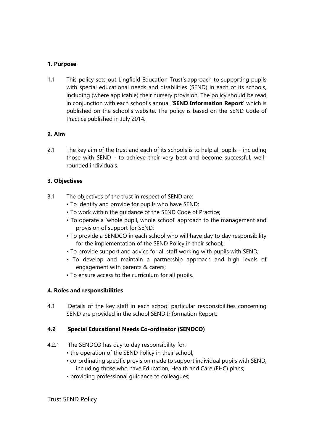## **1. Purpose**

1.1 This policy sets out Lingfield Education Trust's approach to supporting pupils with special educational needs and disabilities (SEND) in each of its schools, including (where applicable) their nursery provision. The policy should be read in conjunction with each school's annual **'SEND Information Report'** which is published on the school's website. The policy is based on the SEND Code of Practice published in July 2014.

# **2. Aim**

2.1 The key aim of the trust and each of its schools is to help all pupils – including those with SEND - to achieve their very best and become successful, wellrounded individuals.

## **3. Objectives**

- 3.1 The objectives of the trust in respect of SEND are:
	- To identify and provide for pupils who have SEND;
	- To work within the guidance of the SEND Code of Practice;
	- To operate a 'whole pupil, whole school' approach to the management and provision of support for SEND;
	- To provide a SENDCO in each school who will have day to day responsibility for the implementation of the SEND Policy in their school;
	- To provide support and advice for all staff working with pupils with SEND;
	- To develop and maintain a partnership approach and high levels of engagement with parents & carers;
	- To ensure access to the curriculum for all pupils.

# **4. Roles and responsibilities**

4.1 Details of the key staff in each school particular responsibilities concerning SEND are provided in the school SEND Information Report.

## **4.2 Special Educational Needs Co-ordinator (SENDCO)**

- 4.2.1 The SENDCO has day to day responsibility for:
	- the operation of the SEND Policy in their school;
	- co-ordinating specific provision made to support individual pupils with SEND, including those who have Education, Health and Care (EHC) plans;
	- providing professional guidance to colleagues;

Trust SEND Policy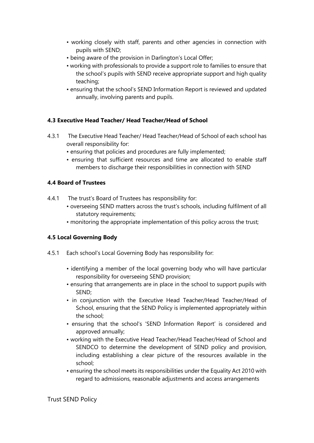- working closely with staff, parents and other agencies in connection with pupils with SEND;
- being aware of the provision in Darlington's Local Offer;
- working with professionals to provide a support role to families to ensure that the school's pupils with SEND receive appropriate support and high quality teaching;
- ensuring that the school's SEND Information Report is reviewed and updated annually, involving parents and pupils.

## **4.3 Executive Head Teacher/ Head Teacher/Head of School**

- 4.3.1 The Executive Head Teacher/ Head Teacher/Head of School of each school has overall responsibility for:
	- ensuring that policies and procedures are fully implemented;
	- ensuring that sufficient resources and time are allocated to enable staff members to discharge their responsibilities in connection with SEND

## **4.4 Board of Trustees**

- 4.4.1 The trust's Board of Trustees has responsibility for:
	- overseeing SEND matters across the trust's schools, including fulfilment of all statutory requirements;
	- monitoring the appropriate implementation of this policy across the trust;

# **4.5 Local Governing Body**

- 4.5.1 Each school's Local Governing Body has responsibility for:
	- identifying a member of the local governing body who will have particular responsibility for overseeing SEND provision;
	- ensuring that arrangements are in place in the school to support pupils with SEND;
	- in conjunction with the Executive Head Teacher/Head Teacher/Head of School, ensuring that the SEND Policy is implemented appropriately within the school;
	- ensuring that the school's 'SEND Information Report' is considered and approved annually;
	- working with the Executive Head Teacher/Head Teacher/Head of School and SENDCO to determine the development of SEND policy and provision, including establishing a clear picture of the resources available in the school;
	- ensuring the school meets its responsibilities under the Equality Act 2010 with regard to admissions, reasonable adjustments and access arrangements

Trust SEND Policy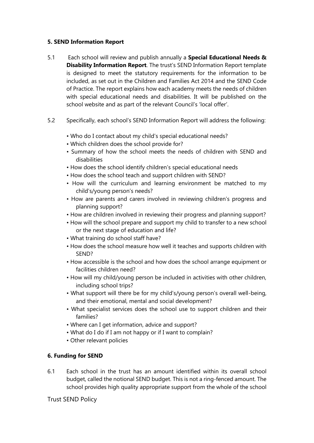#### **5. SEND Information Report**

- 5.1 Each school will review and publish annually a **Special Educational Needs & Disability Information Report**. The trust's SEND Information Report template is designed to meet the statutory requirements for the information to be included, as set out in the Children and Families Act 2014 and the SEND Code of Practice. The report explains how each academy meets the needs of children with special educational needs and disabilities. It will be published on the school website and as part of the relevant Council's 'local offer'.
- 5.2 Specifically, each school's SEND Information Report will address the following:
	- Who do I contact about my child's special educational needs?
	- Which children does the school provide for?
	- Summary of how the school meets the needs of children with SEND and disabilities
	- How does the school identify children's special educational needs
	- How does the school teach and support children with SEND?
	- How will the curriculum and learning environment be matched to my child's/young person's needs?
	- How are parents and carers involved in reviewing children's progress and planning support?
	- How are children involved in reviewing their progress and planning support?
	- How will the school prepare and support my child to transfer to a new school or the next stage of education and life?
	- What training do school staff have?
	- How does the school measure how well it teaches and supports children with SEND?
	- How accessible is the school and how does the school arrange equipment or facilities children need?
	- How will my child/young person be included in activities with other children, including school trips?
	- What support will there be for my child's/young person's overall well-being, and their emotional, mental and social development?
	- What specialist services does the school use to support children and their families?
	- Where can I get information, advice and support?
	- What do I do if I am not happy or if I want to complain?
	- Other relevant policies

## **6. Funding for SEND**

6.1 Each school in the trust has an amount identified within its overall school budget, called the notional SEND budget. This is not a ring-fenced amount. The school provides high quality appropriate support from the whole of the school

Trust SEND Policy